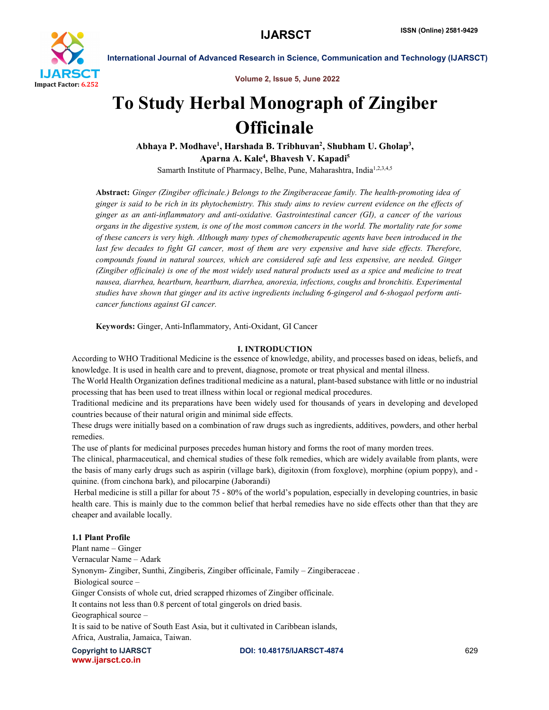

Volume 2, Issue 5, June 2022

# To Study Herbal Monograph of Zingiber **Officinale**

Abhaya P. Modhave<sup>1</sup>, Harshada B. Tribhuvan<sup>2</sup>, Shubham U. Gholap<sup>3</sup>, Aparna A. Kale<sup>4</sup>, Bhavesh V. Kapadi<sup>5</sup> Samarth Institute of Pharmacy, Belhe, Pune, Maharashtra, India<sup>1,2,3,4,5</sup>

Abstract: *Ginger (Zingiber officinale.) Belongs to the Zingiberaceae family. The health-promoting idea of ginger is said to be rich in its phytochemistry. This study aims to review current evidence on the effects of ginger as an anti-inflammatory and anti-oxidative. Gastrointestinal cancer (GI), a cancer of the various organs in the digestive system, is one of the most common cancers in the world. The mortality rate for some of these cancers is very high. Although many types of chemotherapeutic agents have been introduced in the last few decades to fight GI cancer, most of them are very expensive and have side effects. Therefore, compounds found in natural sources, which are considered safe and less expensive, are needed. Ginger (Zingiber officinale) is one of the most widely used natural products used as a spice and medicine to treat nausea, diarrhea, heartburn, heartburn, diarrhea, anorexia, infections, coughs and bronchitis. Experimental studies have shown that ginger and its active ingredients including 6-gingerol and 6-shogaol perform anticancer functions against GI cancer.*

Keywords: Ginger, Anti-Inflammatory, Anti-Oxidant, GI Cancer

### I. INTRODUCTION

According to WHO Traditional Medicine is the essence of knowledge, ability, and processes based on ideas, beliefs, and knowledge. It is used in health care and to prevent, diagnose, promote or treat physical and mental illness.

The World Health Organization defines traditional medicine as a natural, plant-based substance with little or no industrial processing that has been used to treat illness within local or regional medical procedures.

Traditional medicine and its preparations have been widely used for thousands of years in developing and developed countries because of their natural origin and minimal side effects.

These drugs were initially based on a combination of raw drugs such as ingredients, additives, powders, and other herbal remedies.

The use of plants for medicinal purposes precedes human history and forms the root of many morden trees.

The clinical, pharmaceutical, and chemical studies of these folk remedies, which are widely available from plants, were the basis of many early drugs such as aspirin (village bark), digitoxin (from foxglove), morphine (opium poppy), and quinine. (from cinchona bark), and pilocarpine (Jaborandi)

Herbal medicine is still a pillar for about 75 - 80% of the world's population, especially in developing countries, in basic health care. This is mainly due to the common belief that herbal remedies have no side effects other than that they are cheaper and available locally.

### 1.1 Plant Profile

Plant name – Ginger Vernacular Name – Adark Synonym- Zingiber, Sunthi, Zingiberis, Zingiber officinale, Family – Zingiberaceae . Biological source – Ginger Consists of whole cut, dried scrapped rhizomes of Zingiber officinale. It contains not less than 0.8 percent of total gingerols on dried basis. Geographical source – It is said to be native of South East Asia, but it cultivated in Caribbean islands, Africa, Australia, Jamaica, Taiwan.

www.ijarsct.co.in

Copyright to IJARSCT DOI: 10.48175/IJARSCT-4874 629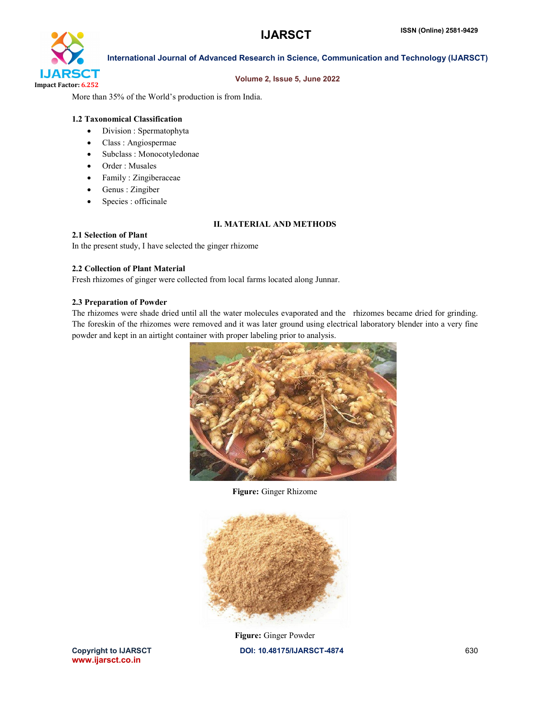

### Volume 2, Issue 5, June 2022

More than 35% of the World's production is from India.

# 1.2 Taxonomical Classification

- Division : Spermatophyta
- Class : Angiospermae
- Subclass : Monocotyledonae
- Order : Musales
- Family : Zingiberaceae
- Genus : Zingiber
- Species : officinale

# II. MATERIAL AND METHODS

# 2.1 Selection of Plant

In the present study, I have selected the ginger rhizome

### 2.2 Collection of Plant Material

Fresh rhizomes of ginger were collected from local farms located along Junnar.

# 2.3 Preparation of Powder

The rhizomes were shade dried until all the water molecules evaporated and the rhizomes became dried for grinding. The foreskin of the rhizomes were removed and it was later ground using electrical laboratory blender into a very fine powder and kept in an airtight container with proper labeling prior to analysis.



Figure: Ginger Rhizome



Copyright to IJARSCT **DOI: 10.48175/IJARSCT-4874** 630 Figure: Ginger Powder

www.ijarsct.co.in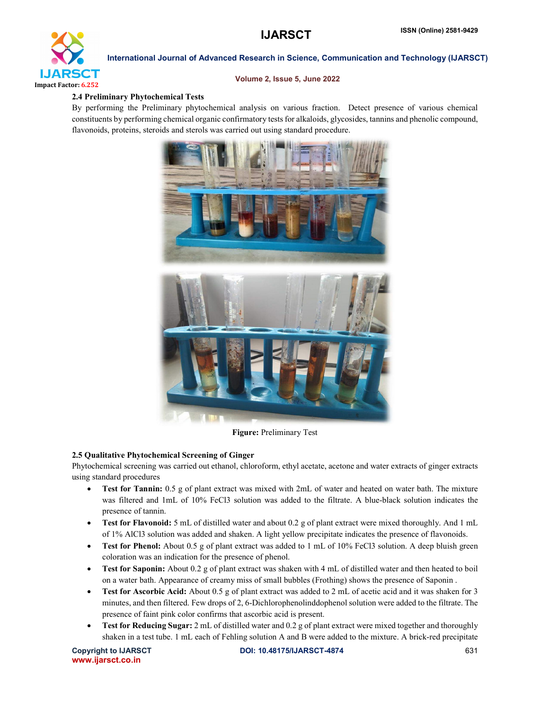

# Volume 2, Issue 5, June 2022

# 2.4 Preliminary Phytochemical Tests

By performing the Preliminary phytochemical analysis on various fraction. Detect presence of various chemical constituents by performing chemical organic confirmatory tests for alkaloids, glycosides, tannins and phenolic compound, flavonoids, proteins, steroids and sterols was carried out using standard procedure.



Figure: Preliminary Test

# 2.5 Qualitative Phytochemical Screening of Ginger

Phytochemical screening was carried out ethanol, chloroform, ethyl acetate, acetone and water extracts of ginger extracts using standard procedures

- Test for Tannin: 0.5 g of plant extract was mixed with 2mL of water and heated on water bath. The mixture was filtered and 1mL of 10% FeCl3 solution was added to the filtrate. A blue-black solution indicates the presence of tannin.
- Test for Flavonoid: 5 mL of distilled water and about 0.2 g of plant extract were mixed thoroughly. And 1 mL of 1% AlCl3 solution was added and shaken. A light yellow precipitate indicates the presence of flavonoids.
- Test for Phenol: About 0.5 g of plant extract was added to 1 mL of 10% FeCl3 solution. A deep bluish green coloration was an indication for the presence of phenol.
- Test for Saponin: About 0.2 g of plant extract was shaken with 4 mL of distilled water and then heated to boil on a water bath. Appearance of creamy miss of small bubbles (Frothing) shows the presence of Saponin .
- Test for Ascorbic Acid: About 0.5 g of plant extract was added to 2 mL of acetic acid and it was shaken for 3 minutes, and then filtered. Few drops of 2, 6-Dichlorophenolinddophenol solution were added to the filtrate. The presence of faint pink color confirms that ascorbic acid is present.
- Test for Reducing Sugar: 2 mL of distilled water and 0.2 g of plant extract were mixed together and thoroughly shaken in a test tube. 1 mL each of Fehling solution A and B were added to the mixture. A brick-red precipitate

www.ijarsct.co.in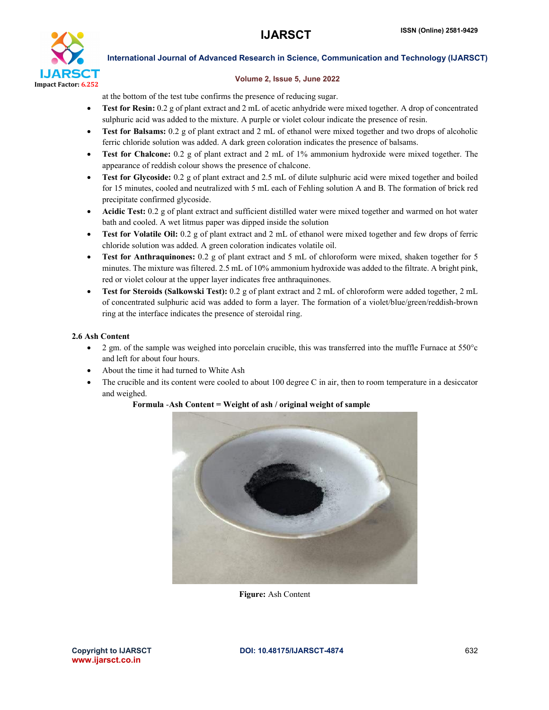

# Volume 2, Issue 5, June 2022

at the bottom of the test tube confirms the presence of reducing sugar.

- Test for Resin: 0.2 g of plant extract and 2 mL of acetic anhydride were mixed together. A drop of concentrated sulphuric acid was added to the mixture. A purple or violet colour indicate the presence of resin.
- Test for Balsams: 0.2 g of plant extract and 2 mL of ethanol were mixed together and two drops of alcoholic ferric chloride solution was added. A dark green coloration indicates the presence of balsams.
- Test for Chalcone: 0.2 g of plant extract and 2 mL of 1% ammonium hydroxide were mixed together. The appearance of reddish colour shows the presence of chalcone.
- Test for Glycoside: 0.2 g of plant extract and 2.5 mL of dilute sulphuric acid were mixed together and boiled for 15 minutes, cooled and neutralized with 5 mL each of Fehling solution A and B. The formation of brick red precipitate confirmed glycoside.
- Acidic Test: 0.2 g of plant extract and sufficient distilled water were mixed together and warmed on hot water bath and cooled. A wet litmus paper was dipped inside the solution
- Test for Volatile Oil: 0.2 g of plant extract and 2 mL of ethanol were mixed together and few drops of ferric chloride solution was added. A green coloration indicates volatile oil.
- Test for Anthraquinones: 0.2 g of plant extract and 5 mL of chloroform were mixed, shaken together for 5 minutes. The mixture was filtered. 2.5 mL of 10% ammonium hydroxide was added to the filtrate. A bright pink, red or violet colour at the upper layer indicates free anthraquinones.
- Test for Steroids (Salkowski Test): 0.2 g of plant extract and 2 mL of chloroform were added together, 2 mL of concentrated sulphuric acid was added to form a layer. The formation of a violet/blue/green/reddish-brown ring at the interface indicates the presence of steroidal ring.

# 2.6 Ash Content

- 2 gm. of the sample was weighed into porcelain crucible, this was transferred into the muffle Furnace at 550°c and left for about four hours.
- About the time it had turned to White Ash
- The crucible and its content were cooled to about 100 degree C in air, then to room temperature in a desiccator and weighed.



Formula -Ash Content = Weight of ash / original weight of sample

Figure: Ash Content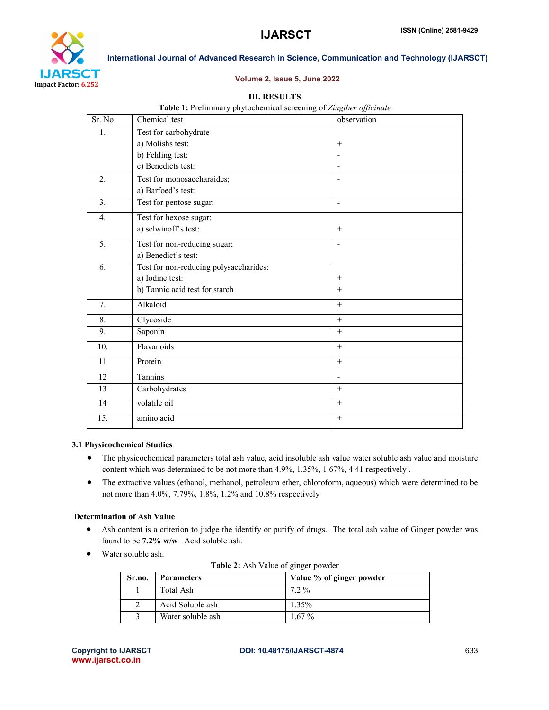

### Volume 2, Issue 5, June 2022

# III. RESULTS

| Table 1: Preliminary phytochemical screening of Zingiber officinale |  |  |  |
|---------------------------------------------------------------------|--|--|--|
|---------------------------------------------------------------------|--|--|--|

| Sr. No         | Chemical test                          | observation              |
|----------------|----------------------------------------|--------------------------|
| 1.             | Test for carbohydrate                  |                          |
|                | a) Molishs test:                       | $^{+}$                   |
|                | b) Fehling test:                       |                          |
|                | c) Benedicts test:                     |                          |
| 2.             | Test for monosaccharaides;             |                          |
|                | a) Barfoed's test:                     |                          |
| 3 <sub>1</sub> | Test for pentose sugar:                | $\blacksquare$           |
| 4.             | Test for hexose sugar:                 |                          |
|                | a) selwinoff's test:                   | $+$                      |
| 5.             | Test for non-reducing sugar;           | $\overline{\phantom{a}}$ |
|                | a) Benedict's test:                    |                          |
| 6.             | Test for non-reducing polysaccharides: |                          |
|                | a) Iodine test:                        | $+$                      |
|                | b) Tannic acid test for starch         | $+$                      |
| 7.             | Alkaloid                               | $\, +$                   |
| 8.             | Glycoside                              | $\ddot{}$                |
| 9.             | Saponin                                | $+$                      |
| 10.            | Flavanoids                             | $+$                      |
| 11             | Protein                                |                          |
| 12             | Tannins                                | $\blacksquare$           |
| 13             | Carbohydrates                          | $\, +$                   |
| 14             | volatile oil                           | $+$                      |
| 15.            | amino acid                             | $+$                      |

# 3.1 Physicochemical Studies

- The physicochemical parameters total ash value, acid insoluble ash value water soluble ash value and moisture content which was determined to be not more than 4.9%, 1.35%, 1.67%, 4.41 respectively .
- The extractive values (ethanol, methanol, petroleum ether, chloroform, aqueous) which were determined to be not more than 4.0%, 7.79%, 1.8%, 1.2% and 10.8% respectively

### Determination of Ash Value

- Ash content is a criterion to judge the identify or purify of drugs. The total ash value of Ginger powder was found to be 7.2% w/w Acid soluble ash.
- Water soluble ash.

| Sr.no. | <b>Parameters</b> | Value % of ginger powder |
|--------|-------------------|--------------------------|
|        | Total Ash         | $7.2\%$                  |
|        | Acid Soluble ash  | $1.35\%$                 |
|        | Water soluble ash | $1.67\%$                 |

Table 2: Ash Value of ginger powder